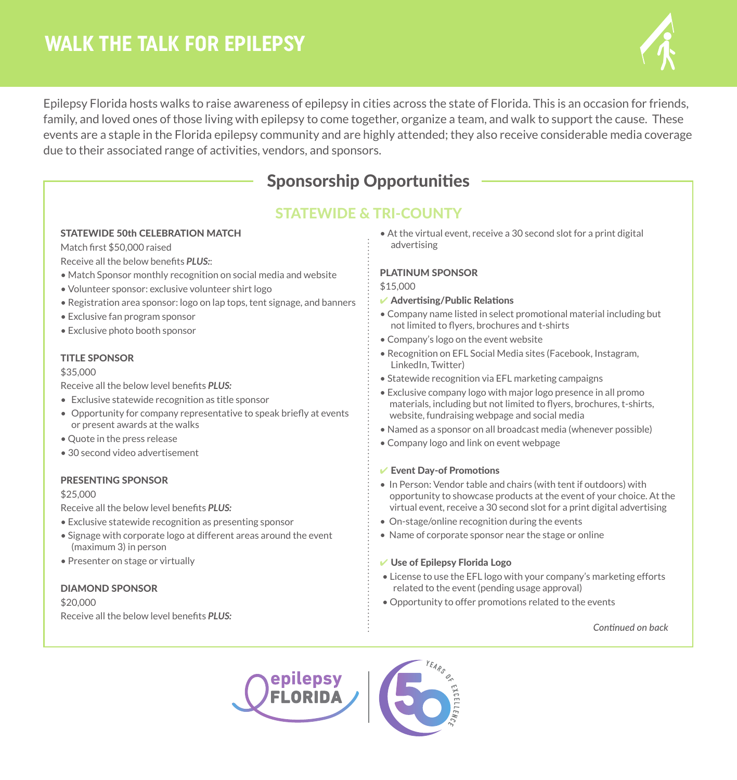# **WALK THE TALK FOR EPILEPSY**



Epilepsy Florida hosts walks to raise awareness of epilepsy in cities across the state of Florida. This is an occasion for friends, family, and loved ones of those living with epilepsy to come together, organize a team, and walk to support the cause. These events are a staple in the Florida epilepsy community and are highly attended; they also receive considerable media coverage due to their associated range of activities, vendors, and sponsors.

## Sponsorship Opportunities

### STATEWIDE & TRI-COUNTY

#### STATEWIDE 50th CELEBRATION MATCH

Match first \$50,000 raised

Receive all the below benefits *PLUS:*:

- Match Sponsor monthly recognition on social media and website
- Volunteer sponsor: exclusive volunteer shirt logo
- Registration area sponsor: logo on lap tops, tent signage, and banners
- Exclusive fan program sponsor
- Exclusive photo booth sponsor

#### TITLE SPONSOR

#### \$35,000

Receive all the below level benefits *PLUS:*

- Exclusive statewide recognition as title sponsor
- Opportunity for company representative to speak briefly at events or present awards at the walks
- Quote in the press release
- 30 second video advertisement

#### PRESENTING SPONSOR

#### \$25,000

Receive all the below level benefits *PLUS:*

- Exclusive statewide recognition as presenting sponsor
- Signage with corporate logo at different areas around the event (maximum 3) in person
- Presenter on stage or virtually

#### DIAMOND SPONSOR

\$20,000 Receive all the below level benefits *PLUS:* • At the virtual event, receive a 30 second slot for a print digital advertising

#### PLATINUM SPONSOR

#### \$15,000

- $\vee$  Advertising/Public Relations
- Company name listed in select promotional material including but not limited to flyers, brochures and t-shirts
- Company's logo on the event website
- Recognition on EFL Social Media sites (Facebook, Instagram, LinkedIn, Twitter)
- Statewide recognition via EFL marketing campaigns
- Exclusive company logo with major logo presence in all promo materials, including but not limited to flyers, brochures, t-shirts, website, fundraising webpage and social media
- Named as a sponsor on all broadcast media (whenever possible)
- Company logo and link on event webpage

#### $\vee$  Event Day-of Promotions

- In Person: Vendor table and chairs (with tent if outdoors) with opportunity to showcase products at the event of your choice. At the virtual event, receive a 30 second slot for a print digital advertising
- On-stage/online recognition during the events
- Name of corporate sponsor near the stage or online

#### $\vee$  Use of Epilepsy Florida Logo

- License to use the EFL logo with your company's marketing efforts related to the event (pending usage approval)
- Opportunity to offer promotions related to the events

*Continued on back*